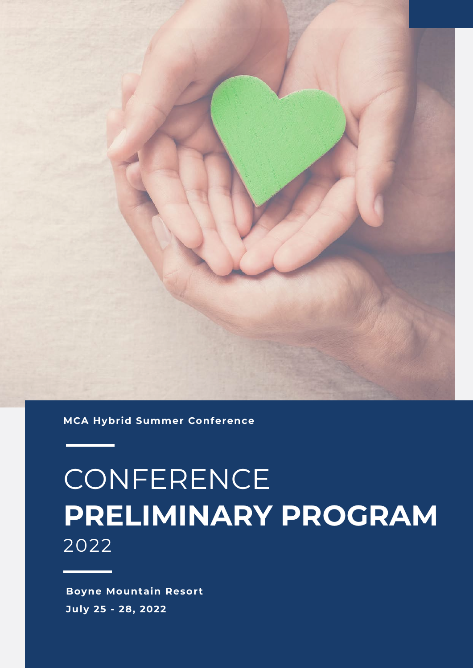

**MCA Hybrid Summer Conference** 

# **CONFERENCE PRELIMINARY PROGRAM** 2022

**Boyne Mountain Resort July 25 - 28, 2022**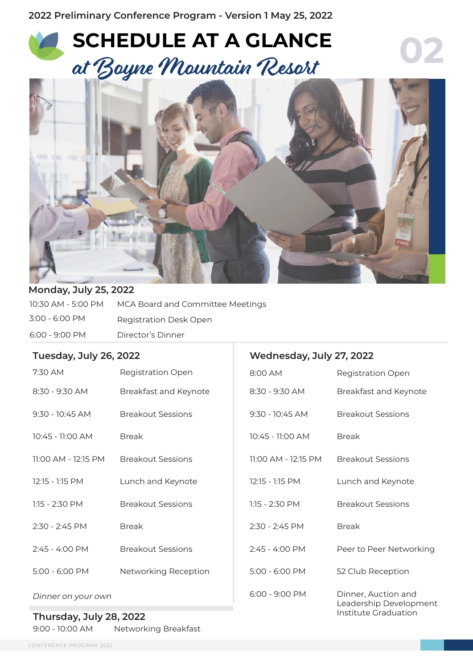## **SCHEDULE AT A GLANCE** at Boyne Mountain Resort



**Wednesday, July 27, 2022**

**02**

#### **Monday, July 25, 2022**

| 10:30 AM - 5:00 PM | MCA Board and Committee Meetings |
|--------------------|----------------------------------|
| 3:00 - 6:00 PM     | Registration Desk Open           |
| $6:00 - 9:00$ PM   | Director's Dinner                |

#### **Tuesday, July 26, 2022**

| 7:30 AM                                          | <b>Registration Open</b> | 8:00 AM             | <b>Registration Open</b>                                              |
|--------------------------------------------------|--------------------------|---------------------|-----------------------------------------------------------------------|
| 8:30 - 9:30 AM                                   | Breakfast and Keynote    | 8:30 - 9:30 AM      | Breakfast and Keynote                                                 |
| 9:30 - 10:45 AM                                  | <b>Breakout Sessions</b> | 9:30 - 10:45 AM     | <b>Breakout Sessions</b>                                              |
| 10:45 - 11:00 AM                                 | <b>Break</b>             | 10:45 - 11:00 AM    | <b>Break</b>                                                          |
| 11:00 AM - 12:15 PM                              | <b>Breakout Sessions</b> | 11:00 AM - 12:15 PM | <b>Breakout Sessions</b>                                              |
| 12:15 - 1:15 PM                                  | Lunch and Keynote        | 12:15 - 1:15 PM     | Lunch and Keynote                                                     |
| $1:15 - 2:30$ PM                                 | <b>Breakout Sessions</b> | 1:15 - 2:30 PM      | <b>Breakout Sessions</b>                                              |
| $2:30 - 2:45$ PM                                 | <b>Break</b>             | $2:30 - 2:45 PM$    | <b>Break</b>                                                          |
| 2:45 - 4:00 PM                                   | <b>Breakout Sessions</b> | 2:45 - 4:00 PM      | Peer to Peer Networking                                               |
| 5:00 - 6:00 PM                                   | Networking Reception     | 5:00 - 6:00 PM      | 52 Club Reception                                                     |
| Dinner on your own<br>Thomas Jave Julie 20, 2022 |                          | 6:00 - 9:00 PM      | Dinner, Auction and<br>Leadership Development<br>Institute Graduation |

#### Institute Graduation **Thursday, July 28, 2022** 9:00 - 10:00 AM Networking Breakfast

CONFERENCE PROGRAM 2022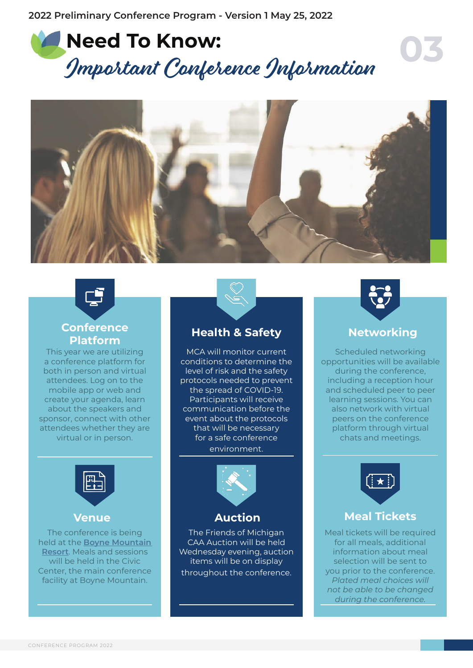





#### **Conference Platform Health & Safety**

This year we are utilizing a conference platform for both in person and virtual attendees. Log on to the mobile app or web and create your agenda, learn about the speakers and sponsor, connect with other attendees whether they are virtual or in person.



The conference is being held at the **[Boyne Mountain](https://www.boynemountain.com/)  [Resort](https://www.boynemountain.com/)**. Meals and sessions will be held in the Civic Center, the main conference facility at Boyne Mountain.



MCA will monitor current conditions to determine the level of risk and the safety protocols needed to prevent the spread of COVID-19. Participants will receive communication before the event about the protocols that will be necessary for a safe conference environment.



**Venue Auction**

The Friends of Michigan CAA Auction will be held Wednesday evening, auction items will be on display throughout the conference.



### **Networking**

Scheduled networking opportunities will be available during the conference, including a reception hour and scheduled peer to peer learning sessions. You can also network with virtual peers on the conference platform through virtual chats and meetings.



### **Meal Tickets**

Meal tickets will be required for all meals, additional information about meal selection will be sent to you prior to the conference. *Plated meal choices will not be able to be changed during the conference.*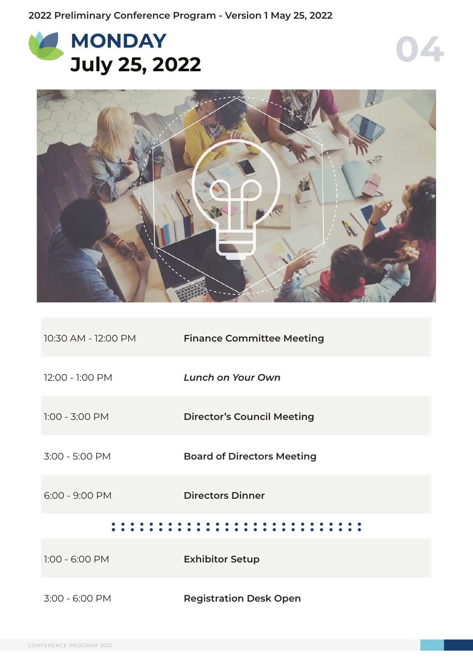





| 10:30 AM - 12:00 PM | <b>Finance Committee Meeting</b>  |  |  |  |
|---------------------|-----------------------------------|--|--|--|
| 12:00 - 1:00 PM     | Lunch on Your Own                 |  |  |  |
| $1:00 - 3:00$ PM    | <b>Director's Council Meeting</b> |  |  |  |
| 3:00 - 5:00 PM      | <b>Board of Directors Meeting</b> |  |  |  |
| $6:00 - 9:00$ PM    | <b>Directors Dinner</b>           |  |  |  |
|                     |                                   |  |  |  |

| $1:00 - 6:00$ PM | <b>Exhibitor Setup</b>        |  |
|------------------|-------------------------------|--|
| 3:00 - 6:00 PM   | <b>Registration Desk Open</b> |  |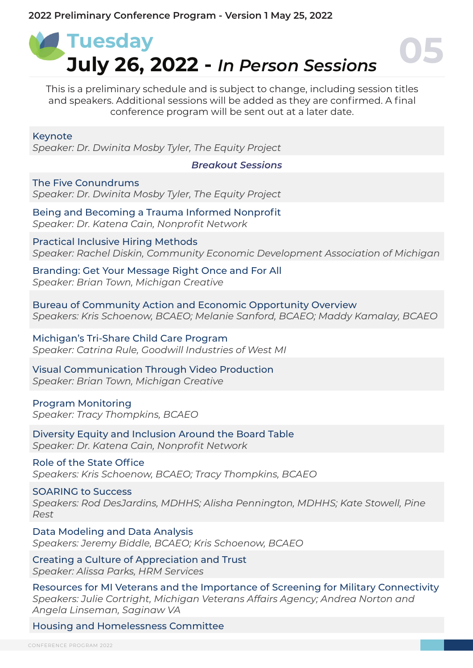

This is a preliminary schedule and is subject to change, including session titles and speakers. Additional sessions will be added as they are confirmed. A final conference program will be sent out at a later date.

Keynote

*Speaker: Dr. Dwinita Mosby Tyler, The Equity Project*

*Breakout Sessions*

The Five Conundrums *Speaker: Dr. Dwinita Mosby Tyler, The Equity Project*

Being and Becoming a Trauma Informed Nonprofit *Speaker: Dr. Katena Cain, Nonprofit Network*

Practical Inclusive Hiring Methods *Speaker: Rachel Diskin, Community Economic Development Association of Michigan*

Branding: Get Your Message Right Once and For All *Speaker: Brian Town, Michigan Creative*

Bureau of Community Action and Economic Opportunity Overview *Speakers: Kris Schoenow, BCAEO; Melanie Sanford, BCAEO; Maddy Kamalay, BCAEO*

Michigan's Tri-Share Child Care Program *Speaker: Catrina Rule, Goodwill Industries of West MI*

Visual Communication Through Video Production *Speaker: Brian Town, Michigan Creative*

Program Monitoring *Speaker: Tracy Thompkins, BCAEO*

Diversity Equity and Inclusion Around the Board Table *Speaker: Dr. Katena Cain, Nonprofit Network*

Role of the State Office *Speakers: Kris Schoenow, BCAEO; Tracy Thompkins, BCAEO*

SOARING to Success *Speakers: Rod DesJardins, MDHHS; Alisha Pennington, MDHHS; Kate Stowell, Pine Rest*

Data Modeling and Data Analysis *Speakers: Jeremy Biddle, BCAEO; Kris Schoenow, BCAEO*

Creating a Culture of Appreciation and Trust *Speaker: Alissa Parks, HRM Services*

Resources for MI Veterans and the Importance of Screening for Military Connectivity *Speakers: Julie Cortright, Michigan Veterans Affairs Agency; Andrea Norton and Angela Linseman, Saginaw VA*

Housing and Homelessness Committee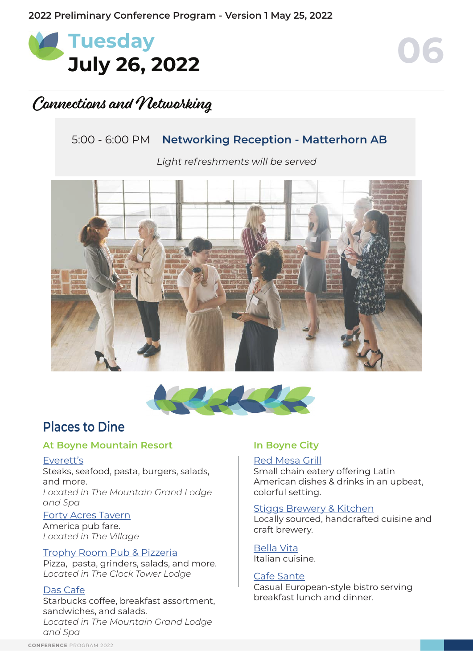

### Connections and Networking

### 5:00 - 6:00 PM **Networking Reception - Matterhorn AB**

*Light refreshments will be served*





### **Places to Dine**

#### **At Boyne Mountain Resort In Boyne City**

#### [Everett's](https://www.boynemountain.com/dining/everetts)

Steaks, seafood, pasta, burgers, salads, and more.

*Located in The Mountain Grand Lodge and Spa*

#### [Forty Acres Tavern](https://www.boynemountain.com/dining/forty-acres-tavern)

America pub fare. *Located in The Village*

#### [Trophy Room Pub & Pizzeria](https://www.boynemountain.com/dining/trophy-room-pub-and-pizzeria)

Pizza, pasta, grinders, salads, and more. *Located in The Clock Tower Lodge*

#### Das Caf[e](https://www.boynemountain.com/dining/trophy-room-pub-and-pizzeria)

Starbucks coffee, breakfast assortment, sandwiches, and salads. *Located in The Mountain Grand Lodge and Spa*

#### [Red Mesa Grill](https://www.magnumhospitality.com/redmesaboynecity/)

Small chain eatery offering Latin American dishes & drinks in an upbeat, colorful setting.

#### [Stiggs Brewery & Kitchen](https://www.stiggsbrewingcompany.com/)

Locally sourced, handcrafted cuisine and craft brewery.

[Bella Vita](http://www.bellavitaboyne.com/) Italian cuisine.

#### [Cafe Sante](http://www.magnumhospitality.com/cafesante/)

Casual European-style bistro serving breakfast lunch and dinner.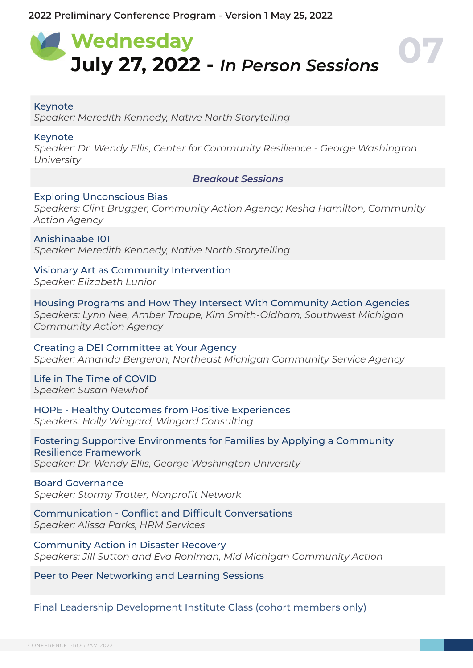## **Wednesday July 27, 2022 -** *In Person Sessions* **07**

#### Keynote

*Speaker: Meredith Kennedy, Native North Storytelling*

#### Keynote

*Speaker: Dr. Wendy Ellis, Center for Community Resilience - George Washington University*

*Breakout Sessions*

#### Exploring Unconscious Bias

*Speakers: Clint Brugger, Community Action Agency; Kesha Hamilton, Community Action Agency*

Anishinaabe 101 *Speaker: Meredith Kennedy, Native North Storytelling*

Visionary Art as Community Intervention *Speaker: Elizabeth Lunior*

Housing Programs and How They Intersect With Community Action Agencies *Speakers: Lynn Nee, Amber Troupe, Kim Smith-Oldham, Southwest Michigan Community Action Agency*

Creating a DEI Committee at Your Agency *Speaker: Amanda Bergeron, Northeast Michigan Community Service Agency*

Life in The Time of COVID *Speaker: Susan Newhof*

HOPE - Healthy Outcomes from Positive Experiences *Speakers: Holly Wingard, Wingard Consulting*

Fostering Supportive Environments for Families by Applying a Community Resilience Framework *Speaker: Dr. Wendy Ellis, George Washington University*

#### Board Governance

*Speaker: Stormy Trotter, Nonprofit Network*

Communication - Conflict and Difficult Conversations *Speaker: Alissa Parks, HRM Services*

Community Action in Disaster Recovery *Speakers: Jill Sutton and Eva Rohlman, Mid Michigan Community Action* 

Peer to Peer Networking and Learning Sessions

Final Leadership Development Institute Class (cohort members only)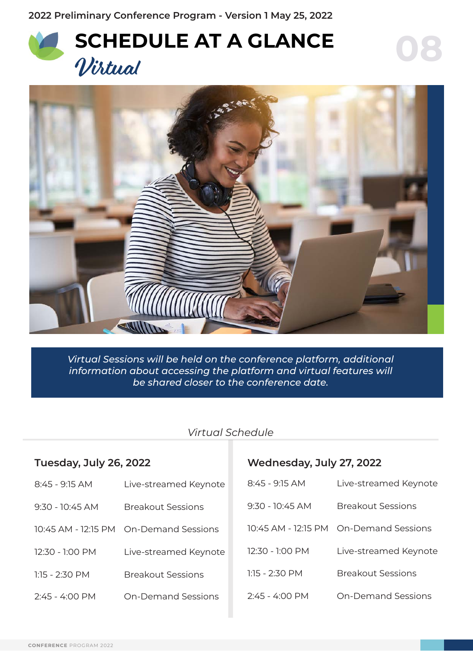**2022 Preliminary Conference Program - Version 1 May 25, 2022**





*Virtual Sessions will be held on the conference platform, additional information about accessing the platform and virtual features will be shared closer to the conference date.*

### *Virtual Schedule*

| Tuesday, July 26, 2022   |                                        | Wednesday, July 27, 2022 |                                        |  |
|--------------------------|----------------------------------------|--------------------------|----------------------------------------|--|
| 8:45 - 9:15 AM           | Live-streamed Keynote                  | 8:45 - 9:15 AM           | Live-streamed Keynote                  |  |
| $9:30 - 10:45$ AM        | <b>Breakout Sessions</b>               | $9:30 - 10:45$ AM        | <b>Breakout Sessions</b>               |  |
|                          | 10:45 AM - 12:15 PM On-Demand Sessions |                          | 10:45 AM - 12:15 PM On-Demand Sessions |  |
| 12:30 - 1:00 PM          | Live-streamed Keynote                  | 12:30 - 1:00 PM          | Live-streamed Keynote                  |  |
| $1:15 - 2:30$ PM         | <b>Breakout Sessions</b>               | $1:15 - 2:30$ PM         | <b>Breakout Sessions</b>               |  |
| $2:45 - 4:00 \text{ PM}$ | <b>On-Demand Sessions</b>              | $2.45 - 4.00$ PM         | <b>On-Demand Sessions</b>              |  |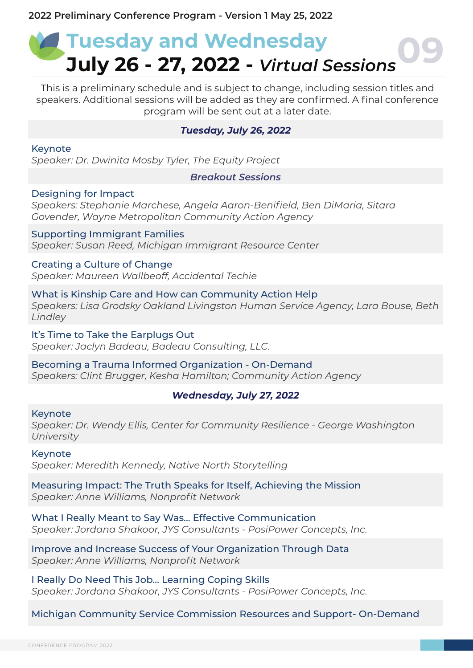## **Tuesday and Wednesday July 26 - 27, 2022 -** *Virtual Sessions***09**

This is a preliminary schedule and is subject to change, including session titles and speakers. Additional sessions will be added as they are confirmed. A final conference program will be sent out at a later date.

#### *Tuesday, July 26, 2022*

Keynote *Speaker: Dr. Dwinita Mosby Tyler, The Equity Project*

#### *Breakout Sessions*

#### Designing for Impact

*Speakers: Stephanie Marchese, Angela Aaron-Benifield, Ben DiMaria, Sitara Govender, Wayne Metropolitan Community Action Agency*

Supporting Immigrant Families *Speaker: Susan Reed, Michigan Immigrant Resource Center*

Creating a Culture of Change *Speaker: Maureen Wallbeoff, Accidental Techie*

What is Kinship Care and How can Community Action Help *Speakers: Lisa Grodsky Oakland Livingston Human Service Agency, Lara Bouse, Beth Lindley*

It's Time to Take the Earplugs Out *Speaker: Jaclyn Badeau, Badeau Consulting, LLC.*

Becoming a Trauma Informed Organization - On-Demand *Speakers: Clint Brugger, Kesha Hamilton; Community Action Agency*

#### *Wednesday, July 27, 2022*

#### Keynote

*Speaker: Dr. Wendy Ellis, Center for Community Resilience - George Washington University*

#### Keynote

*Speaker: Meredith Kennedy, Native North Storytelling*

Measuring Impact: The Truth Speaks for Itself, Achieving the Mission *Speaker: Anne Williams, Nonprofit Network*

What I Really Meant to Say Was... Effective Communication *Speaker: Jordana Shakoor, JYS Consultants - PosiPower Concepts, Inc.*

Improve and Increase Success of Your Organization Through Data *Speaker: Anne Williams, Nonprofit Network*

I Really Do Need This Job... Learning Coping Skills *Speaker: Jordana Shakoor, JYS Consultants - PosiPower Concepts, Inc.*

Michigan Community Service Commission Resources and Support- On-Demand